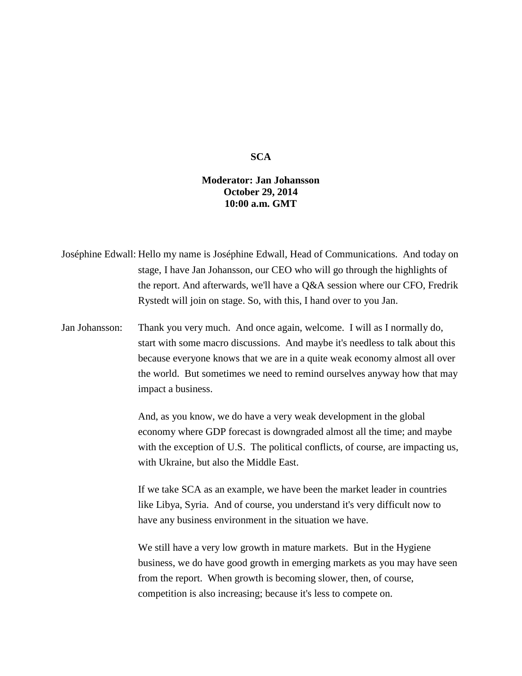## **SCA**

## **Moderator: Jan Johansson October 29, 2014 10:00 a.m. GMT**

Joséphine Edwall: Hello my name is Joséphine Edwall, Head of Communications. And today on stage, I have Jan Johansson, our CEO who will go through the highlights of the report. And afterwards, we'll have a Q&A session where our CFO, Fredrik Rystedt will join on stage. So, with this, I hand over to you Jan.

Jan Johansson: Thank you very much. And once again, welcome. I will as I normally do, start with some macro discussions. And maybe it's needless to talk about this because everyone knows that we are in a quite weak economy almost all over the world. But sometimes we need to remind ourselves anyway how that may impact a business.

> And, as you know, we do have a very weak development in the global economy where GDP forecast is downgraded almost all the time; and maybe with the exception of U.S. The political conflicts, of course, are impacting us, with Ukraine, but also the Middle East.

If we take SCA as an example, we have been the market leader in countries like Libya, Syria. And of course, you understand it's very difficult now to have any business environment in the situation we have.

We still have a very low growth in mature markets. But in the Hygiene business, we do have good growth in emerging markets as you may have seen from the report. When growth is becoming slower, then, of course, competition is also increasing; because it's less to compete on.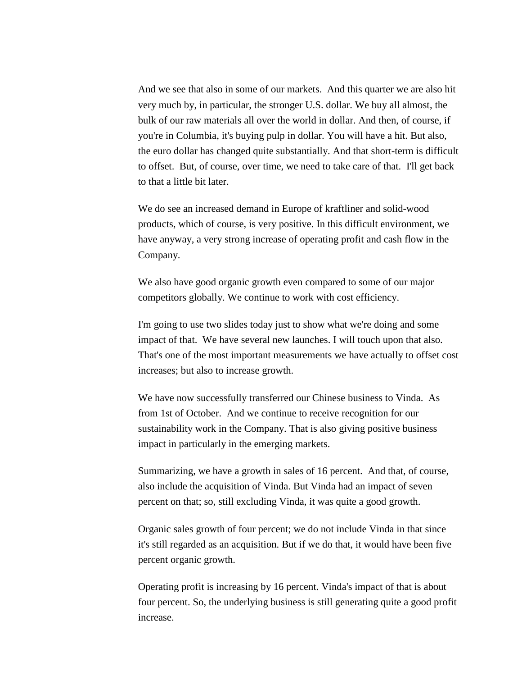And we see that also in some of our markets. And this quarter we are also hit very much by, in particular, the stronger U.S. dollar. We buy all almost, the bulk of our raw materials all over the world in dollar. And then, of course, if you're in Columbia, it's buying pulp in dollar. You will have a hit. But also, the euro dollar has changed quite substantially. And that short-term is difficult to offset. But, of course, over time, we need to take care of that. I'll get back to that a little bit later.

We do see an increased demand in Europe of kraftliner and solid-wood products, which of course, is very positive. In this difficult environment, we have anyway, a very strong increase of operating profit and cash flow in the Company.

We also have good organic growth even compared to some of our major competitors globally. We continue to work with cost efficiency.

I'm going to use two slides today just to show what we're doing and some impact of that. We have several new launches. I will touch upon that also. That's one of the most important measurements we have actually to offset cost increases; but also to increase growth.

We have now successfully transferred our Chinese business to Vinda. As from 1st of October. And we continue to receive recognition for our sustainability work in the Company. That is also giving positive business impact in particularly in the emerging markets.

Summarizing, we have a growth in sales of 16 percent. And that, of course, also include the acquisition of Vinda. But Vinda had an impact of seven percent on that; so, still excluding Vinda, it was quite a good growth.

Organic sales growth of four percent; we do not include Vinda in that since it's still regarded as an acquisition. But if we do that, it would have been five percent organic growth.

Operating profit is increasing by 16 percent. Vinda's impact of that is about four percent. So, the underlying business is still generating quite a good profit increase.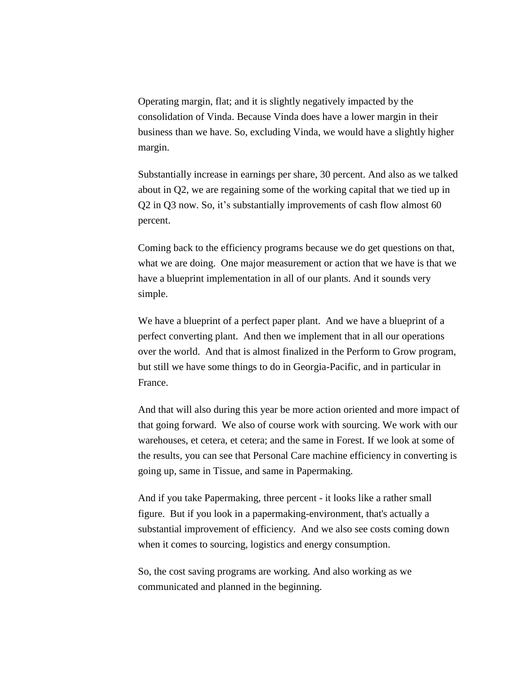Operating margin, flat; and it is slightly negatively impacted by the consolidation of Vinda. Because Vinda does have a lower margin in their business than we have. So, excluding Vinda, we would have a slightly higher margin.

Substantially increase in earnings per share, 30 percent. And also as we talked about in Q2, we are regaining some of the working capital that we tied up in Q2 in Q3 now. So, it's substantially improvements of cash flow almost 60 percent.

Coming back to the efficiency programs because we do get questions on that, what we are doing. One major measurement or action that we have is that we have a blueprint implementation in all of our plants. And it sounds very simple.

We have a blueprint of a perfect paper plant. And we have a blueprint of a perfect converting plant. And then we implement that in all our operations over the world. And that is almost finalized in the Perform to Grow program, but still we have some things to do in Georgia-Pacific, and in particular in France.

And that will also during this year be more action oriented and more impact of that going forward. We also of course work with sourcing. We work with our warehouses, et cetera, et cetera; and the same in Forest. If we look at some of the results, you can see that Personal Care machine efficiency in converting is going up, same in Tissue, and same in Papermaking.

And if you take Papermaking, three percent - it looks like a rather small figure. But if you look in a papermaking-environment, that's actually a substantial improvement of efficiency. And we also see costs coming down when it comes to sourcing, logistics and energy consumption.

So, the cost saving programs are working. And also working as we communicated and planned in the beginning.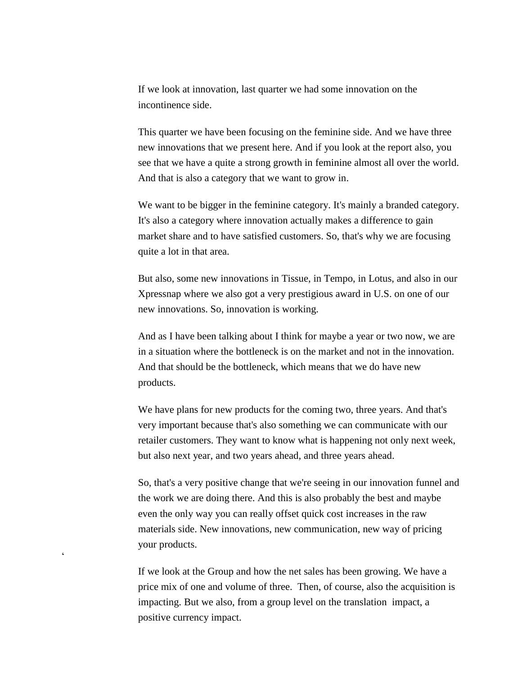If we look at innovation, last quarter we had some innovation on the incontinence side.

This quarter we have been focusing on the feminine side. And we have three new innovations that we present here. And if you look at the report also, you see that we have a quite a strong growth in feminine almost all over the world. And that is also a category that we want to grow in.

We want to be bigger in the feminine category. It's mainly a branded category. It's also a category where innovation actually makes a difference to gain market share and to have satisfied customers. So, that's why we are focusing quite a lot in that area.

But also, some new innovations in Tissue, in Tempo, in Lotus, and also in our Xpressnap where we also got a very prestigious award in U.S. on one of our new innovations. So, innovation is working.

And as I have been talking about I think for maybe a year or two now, we are in a situation where the bottleneck is on the market and not in the innovation. And that should be the bottleneck, which means that we do have new products.

We have plans for new products for the coming two, three years. And that's very important because that's also something we can communicate with our retailer customers. They want to know what is happening not only next week, but also next year, and two years ahead, and three years ahead.

So, that's a very positive change that we're seeing in our innovation funnel and the work we are doing there. And this is also probably the best and maybe even the only way you can really offset quick cost increases in the raw materials side. New innovations, new communication, new way of pricing your products.

If we look at the Group and how the net sales has been growing. We have a price mix of one and volume of three. Then, of course, also the acquisition is impacting. But we also, from a group level on the translation impact, a positive currency impact.

 $\epsilon$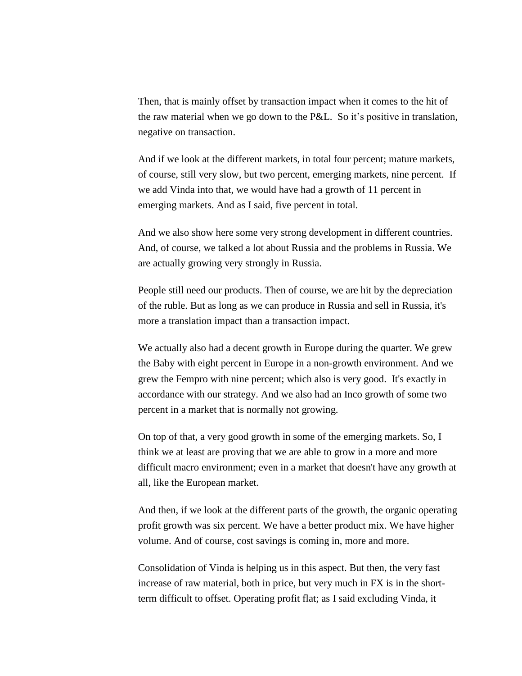Then, that is mainly offset by transaction impact when it comes to the hit of the raw material when we go down to the P&L. So it's positive in translation, negative on transaction.

And if we look at the different markets, in total four percent; mature markets, of course, still very slow, but two percent, emerging markets, nine percent. If we add Vinda into that, we would have had a growth of 11 percent in emerging markets. And as I said, five percent in total.

And we also show here some very strong development in different countries. And, of course, we talked a lot about Russia and the problems in Russia. We are actually growing very strongly in Russia.

People still need our products. Then of course, we are hit by the depreciation of the ruble. But as long as we can produce in Russia and sell in Russia, it's more a translation impact than a transaction impact.

We actually also had a decent growth in Europe during the quarter. We grew the Baby with eight percent in Europe in a non-growth environment. And we grew the Fempro with nine percent; which also is very good. It's exactly in accordance with our strategy. And we also had an Inco growth of some two percent in a market that is normally not growing.

On top of that, a very good growth in some of the emerging markets. So, I think we at least are proving that we are able to grow in a more and more difficult macro environment; even in a market that doesn't have any growth at all, like the European market.

And then, if we look at the different parts of the growth, the organic operating profit growth was six percent. We have a better product mix. We have higher volume. And of course, cost savings is coming in, more and more.

Consolidation of Vinda is helping us in this aspect. But then, the very fast increase of raw material, both in price, but very much in FX is in the shortterm difficult to offset. Operating profit flat; as I said excluding Vinda, it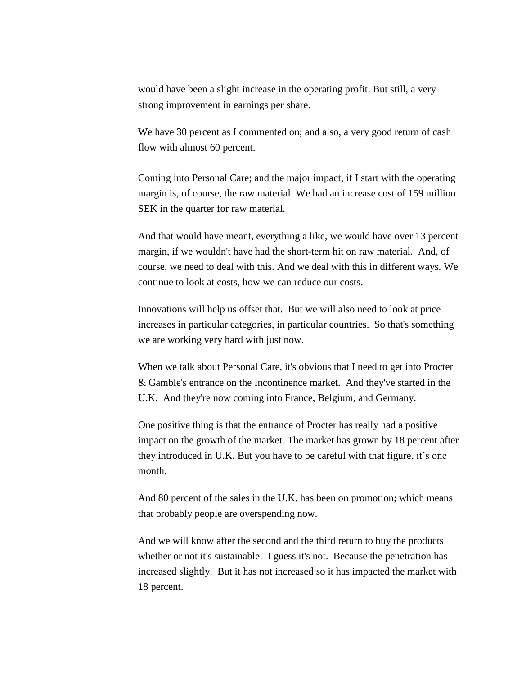would have been a slight increase in the operating profit. But still, a very strong improvement in earnings per share.

We have 30 percent as I commented on; and also, a very good return of cash flow with almost 60 percent.

Coming into Personal Care; and the major impact, if I start with the operating margin is, of course, the raw material. We had an increase cost of 159 million SEK in the quarter for raw material.

And that would have meant, everything a like, we would have over 13 percent margin, if we wouldn't have had the short-term hit on raw material. And, of course, we need to deal with this. And we deal with this in different ways. We continue to look at costs, how we can reduce our costs.

Innovations will help us offset that. But we will also need to look at price increases in particular categories, in particular countries. So that's something we are working very hard with just now.

When we talk about Personal Care, it's obvious that I need to get into Procter & Gamble's entrance on the Incontinence market. And they've started in the U.K. And they're now coming into France, Belgium, and Germany.

One positive thing is that the entrance of Procter has really had a positive impact on the growth of the market. The market has grown by 18 percent after they introduced in U.K. But you have to be careful with that figure, it's one month.

And 80 percent of the sales in the U.K. has been on promotion; which means that probably people are overspending now.

And we will know after the second and the third return to buy the products whether or not it's sustainable. I guess it's not. Because the penetration has increased slightly. But it has not increased so it has impacted the market with 18 percent.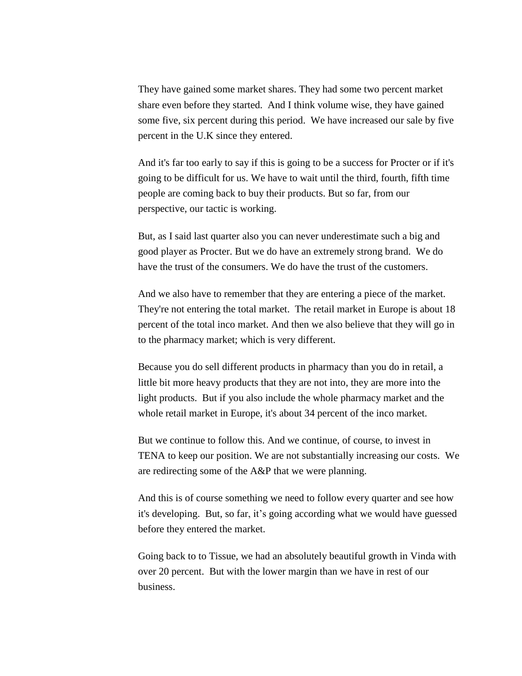They have gained some market shares. They had some two percent market share even before they started. And I think volume wise, they have gained some five, six percent during this period. We have increased our sale by five percent in the U.K since they entered.

And it's far too early to say if this is going to be a success for Procter or if it's going to be difficult for us. We have to wait until the third, fourth, fifth time people are coming back to buy their products. But so far, from our perspective, our tactic is working.

But, as I said last quarter also you can never underestimate such a big and good player as Procter. But we do have an extremely strong brand. We do have the trust of the consumers. We do have the trust of the customers.

And we also have to remember that they are entering a piece of the market. They're not entering the total market. The retail market in Europe is about 18 percent of the total inco market. And then we also believe that they will go in to the pharmacy market; which is very different.

Because you do sell different products in pharmacy than you do in retail, a little bit more heavy products that they are not into, they are more into the light products. But if you also include the whole pharmacy market and the whole retail market in Europe, it's about 34 percent of the inco market.

But we continue to follow this. And we continue, of course, to invest in TENA to keep our position. We are not substantially increasing our costs. We are redirecting some of the A&P that we were planning.

And this is of course something we need to follow every quarter and see how it's developing. But, so far, it's going according what we would have guessed before they entered the market.

Going back to to Tissue, we had an absolutely beautiful growth in Vinda with over 20 percent. But with the lower margin than we have in rest of our business.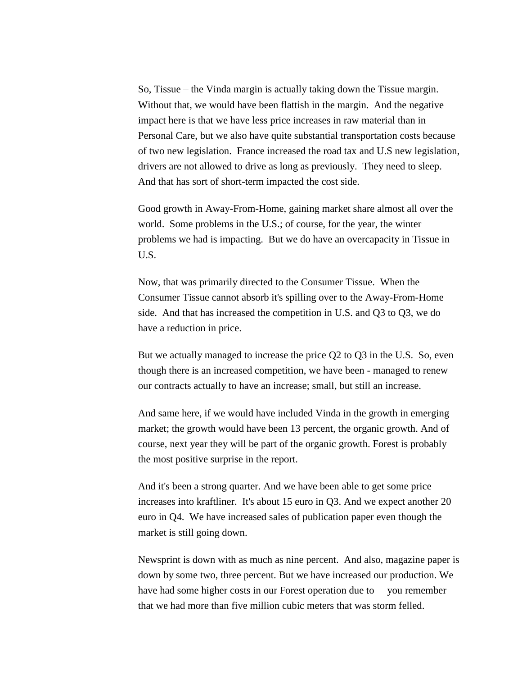So, Tissue – the Vinda margin is actually taking down the Tissue margin. Without that, we would have been flattish in the margin. And the negative impact here is that we have less price increases in raw material than in Personal Care, but we also have quite substantial transportation costs because of two new legislation. France increased the road tax and U.S new legislation, drivers are not allowed to drive as long as previously. They need to sleep. And that has sort of short-term impacted the cost side.

Good growth in Away-From-Home, gaining market share almost all over the world. Some problems in the U.S.; of course, for the year, the winter problems we had is impacting. But we do have an overcapacity in Tissue in U.S.

Now, that was primarily directed to the Consumer Tissue. When the Consumer Tissue cannot absorb it's spilling over to the Away-From-Home side. And that has increased the competition in U.S. and Q3 to Q3, we do have a reduction in price.

But we actually managed to increase the price Q2 to Q3 in the U.S. So, even though there is an increased competition, we have been - managed to renew our contracts actually to have an increase; small, but still an increase.

And same here, if we would have included Vinda in the growth in emerging market; the growth would have been 13 percent, the organic growth. And of course, next year they will be part of the organic growth. Forest is probably the most positive surprise in the report.

And it's been a strong quarter. And we have been able to get some price increases into kraftliner. It's about 15 euro in Q3. And we expect another 20 euro in Q4. We have increased sales of publication paper even though the market is still going down.

Newsprint is down with as much as nine percent. And also, magazine paper is down by some two, three percent. But we have increased our production. We have had some higher costs in our Forest operation due to – you remember that we had more than five million cubic meters that was storm felled.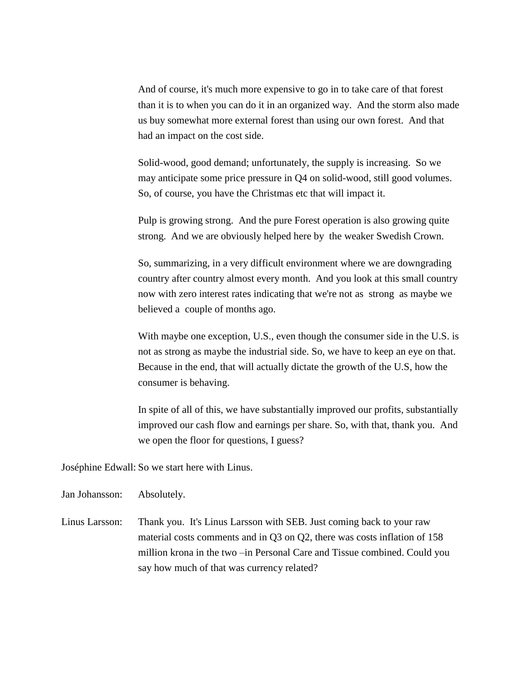And of course, it's much more expensive to go in to take care of that forest than it is to when you can do it in an organized way. And the storm also made us buy somewhat more external forest than using our own forest. And that had an impact on the cost side.

Solid-wood, good demand; unfortunately, the supply is increasing. So we may anticipate some price pressure in Q4 on solid-wood, still good volumes. So, of course, you have the Christmas etc that will impact it.

Pulp is growing strong. And the pure Forest operation is also growing quite strong. And we are obviously helped here by the weaker Swedish Crown.

So, summarizing, in a very difficult environment where we are downgrading country after country almost every month. And you look at this small country now with zero interest rates indicating that we're not as strong as maybe we believed a couple of months ago.

With maybe one exception, U.S., even though the consumer side in the U.S. is not as strong as maybe the industrial side. So, we have to keep an eye on that. Because in the end, that will actually dictate the growth of the U.S, how the consumer is behaving.

In spite of all of this, we have substantially improved our profits, substantially improved our cash flow and earnings per share. So, with that, thank you. And we open the floor for questions, I guess?

Joséphine Edwall: So we start here with Linus.

Jan Johansson: Absolutely.

Linus Larsson: Thank you. It's Linus Larsson with SEB. Just coming back to your raw material costs comments and in Q3 on Q2, there was costs inflation of 158 million krona in the two –in Personal Care and Tissue combined. Could you say how much of that was currency related?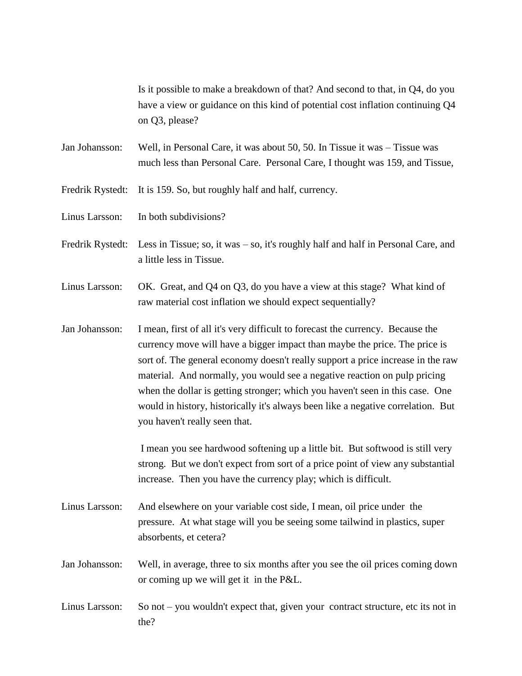Is it possible to make a breakdown of that? And second to that, in Q4, do you have a view or guidance on this kind of potential cost inflation continuing Q4 on Q3, please?

Jan Johansson: Well, in Personal Care, it was about 50, 50. In Tissue it was – Tissue was much less than Personal Care. Personal Care, I thought was 159, and Tissue,

Fredrik Rystedt: It is 159. So, but roughly half and half, currency.

Linus Larsson: In both subdivisions?

Fredrik Rystedt: Less in Tissue; so, it was – so, it's roughly half and half in Personal Care, and a little less in Tissue.

Linus Larsson: OK. Great, and Q4 on Q3, do you have a view at this stage? What kind of raw material cost inflation we should expect sequentially?

Jan Johansson: I mean, first of all it's very difficult to forecast the currency. Because the currency move will have a bigger impact than maybe the price. The price is sort of. The general economy doesn't really support a price increase in the raw material. And normally, you would see a negative reaction on pulp pricing when the dollar is getting stronger; which you haven't seen in this case. One would in history, historically it's always been like a negative correlation. But you haven't really seen that.

> I mean you see hardwood softening up a little bit. But softwood is still very strong. But we don't expect from sort of a price point of view any substantial increase. Then you have the currency play; which is difficult.

Linus Larsson: And elsewhere on your variable cost side, I mean, oil price under the pressure. At what stage will you be seeing some tailwind in plastics, super absorbents, et cetera?

Jan Johansson: Well, in average, three to six months after you see the oil prices coming down or coming up we will get it in the P&L.

Linus Larsson: So not – you wouldn't expect that, given your contract structure, etc its not in the?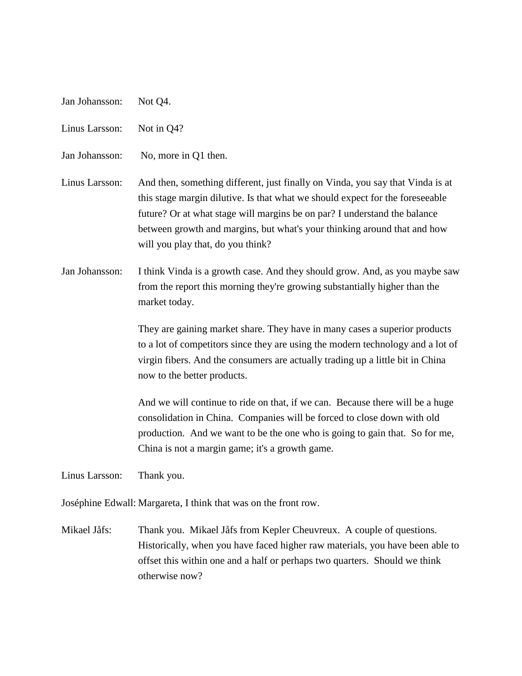| Jan Johansson:<br>Not Q4. |  |
|---------------------------|--|
|---------------------------|--|

Linus Larsson: Not in Q4?

Jan Johansson: No, more in Q1 then.

Linus Larsson: And then, something different, just finally on Vinda, you say that Vinda is at this stage margin dilutive. Is that what we should expect for the foreseeable future? Or at what stage will margins be on par? I understand the balance between growth and margins, but what's your thinking around that and how will you play that, do you think?

Jan Johansson: I think Vinda is a growth case. And they should grow. And, as you maybe saw from the report this morning they're growing substantially higher than the market today.

> They are gaining market share. They have in many cases a superior products to a lot of competitors since they are using the modern technology and a lot of virgin fibers. And the consumers are actually trading up a little bit in China now to the better products.

And we will continue to ride on that, if we can. Because there will be a huge consolidation in China. Companies will be forced to close down with old production. And we want to be the one who is going to gain that. So for me, China is not a margin game; it's a growth game.

Linus Larsson: Thank you.

Joséphine Edwall: Margareta, I think that was on the front row.

Mikael Jåfs: Thank you. Mikael Jåfs from Kepler Cheuvreux. A couple of questions. Historically, when you have faced higher raw materials, you have been able to offset this within one and a half or perhaps two quarters. Should we think otherwise now?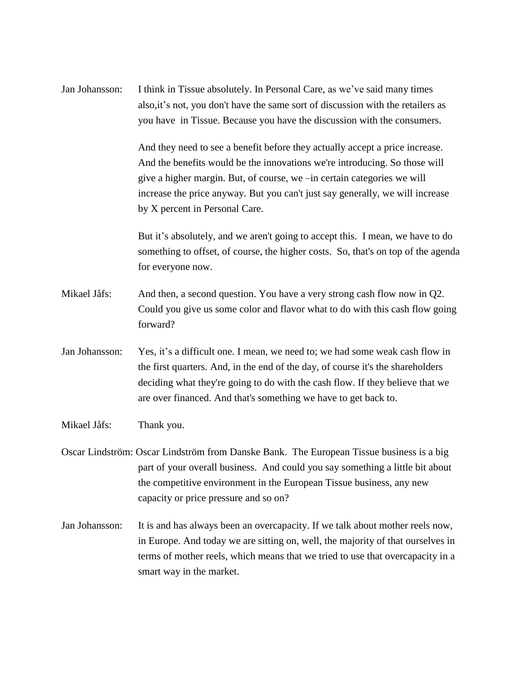Jan Johansson: I think in Tissue absolutely. In Personal Care, as we've said many times also,it's not, you don't have the same sort of discussion with the retailers as you have in Tissue. Because you have the discussion with the consumers.

> And they need to see a benefit before they actually accept a price increase. And the benefits would be the innovations we're introducing. So those will give a higher margin. But, of course, we –in certain categories we will increase the price anyway. But you can't just say generally, we will increase by X percent in Personal Care.

But it's absolutely, and we aren't going to accept this. I mean, we have to do something to offset, of course, the higher costs. So, that's on top of the agenda for everyone now.

- Mikael Jåfs: And then, a second question. You have a very strong cash flow now in Q2. Could you give us some color and flavor what to do with this cash flow going forward?
- Jan Johansson: Yes, it's a difficult one. I mean, we need to; we had some weak cash flow in the first quarters. And, in the end of the day, of course it's the shareholders deciding what they're going to do with the cash flow. If they believe that we are over financed. And that's something we have to get back to.
- Mikael Jåfs: Thank you.
- Oscar Lindström: Oscar Lindström from Danske Bank. The European Tissue business is a big part of your overall business. And could you say something a little bit about the competitive environment in the European Tissue business, any new capacity or price pressure and so on?
- Jan Johansson: It is and has always been an overcapacity. If we talk about mother reels now, in Europe. And today we are sitting on, well, the majority of that ourselves in terms of mother reels, which means that we tried to use that overcapacity in a smart way in the market.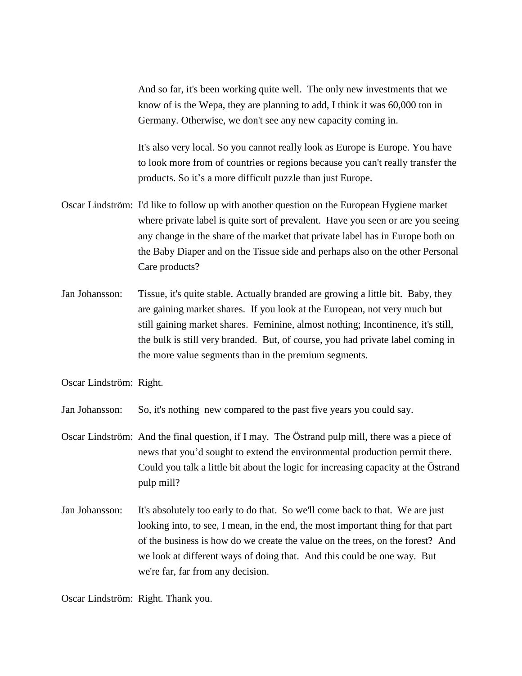And so far, it's been working quite well. The only new investments that we know of is the Wepa, they are planning to add, I think it was 60,000 ton in Germany. Otherwise, we don't see any new capacity coming in.

It's also very local. So you cannot really look as Europe is Europe. You have to look more from of countries or regions because you can't really transfer the products. So it's a more difficult puzzle than just Europe.

- Oscar Lindström: I'd like to follow up with another question on the European Hygiene market where private label is quite sort of prevalent. Have you seen or are you seeing any change in the share of the market that private label has in Europe both on the Baby Diaper and on the Tissue side and perhaps also on the other Personal Care products?
- Jan Johansson: Tissue, it's quite stable. Actually branded are growing a little bit. Baby, they are gaining market shares. If you look at the European, not very much but still gaining market shares. Feminine, almost nothing; Incontinence, it's still, the bulk is still very branded. But, of course, you had private label coming in the more value segments than in the premium segments.

Oscar Lindström: Right.

Jan Johansson: So, it's nothing new compared to the past five years you could say.

- Oscar Lindström: And the final question, if I may. The Östrand pulp mill, there was a piece of news that you'd sought to extend the environmental production permit there. Could you talk a little bit about the logic for increasing capacity at the Östrand pulp mill?
- Jan Johansson: It's absolutely too early to do that. So we'll come back to that. We are just looking into, to see, I mean, in the end, the most important thing for that part of the business is how do we create the value on the trees, on the forest? And we look at different ways of doing that. And this could be one way. But we're far, far from any decision.

Oscar Lindström: Right. Thank you.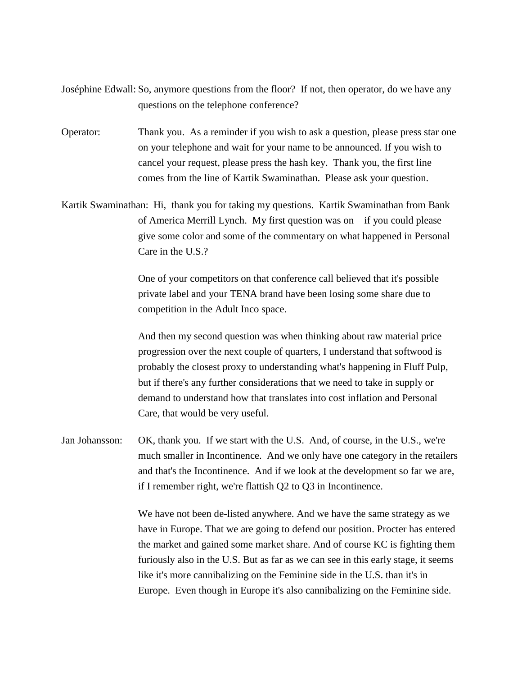- Joséphine Edwall: So, anymore questions from the floor? If not, then operator, do we have any questions on the telephone conference?
- Operator: Thank you. As a reminder if you wish to ask a question, please press star one on your telephone and wait for your name to be announced. If you wish to cancel your request, please press the hash key. Thank you, the first line comes from the line of Kartik Swaminathan. Please ask your question.
- Kartik Swaminathan: Hi, thank you for taking my questions. Kartik Swaminathan from Bank of America Merrill Lynch. My first question was on – if you could please give some color and some of the commentary on what happened in Personal Care in the U.S.?

One of your competitors on that conference call believed that it's possible private label and your TENA brand have been losing some share due to competition in the Adult Inco space.

And then my second question was when thinking about raw material price progression over the next couple of quarters, I understand that softwood is probably the closest proxy to understanding what's happening in Fluff Pulp, but if there's any further considerations that we need to take in supply or demand to understand how that translates into cost inflation and Personal Care, that would be very useful.

Jan Johansson: OK, thank you. If we start with the U.S. And, of course, in the U.S., we're much smaller in Incontinence. And we only have one category in the retailers and that's the Incontinence. And if we look at the development so far we are, if I remember right, we're flattish Q2 to Q3 in Incontinence.

> We have not been de-listed anywhere. And we have the same strategy as we have in Europe. That we are going to defend our position. Procter has entered the market and gained some market share. And of course KC is fighting them furiously also in the U.S. But as far as we can see in this early stage, it seems like it's more cannibalizing on the Feminine side in the U.S. than it's in Europe. Even though in Europe it's also cannibalizing on the Feminine side.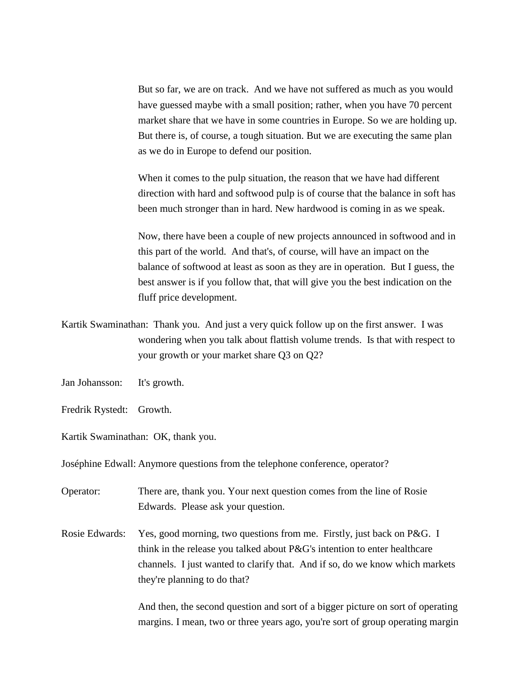But so far, we are on track. And we have not suffered as much as you would have guessed maybe with a small position; rather, when you have 70 percent market share that we have in some countries in Europe. So we are holding up. But there is, of course, a tough situation. But we are executing the same plan as we do in Europe to defend our position.

When it comes to the pulp situation, the reason that we have had different direction with hard and softwood pulp is of course that the balance in soft has been much stronger than in hard. New hardwood is coming in as we speak.

Now, there have been a couple of new projects announced in softwood and in this part of the world. And that's, of course, will have an impact on the balance of softwood at least as soon as they are in operation. But I guess, the best answer is if you follow that, that will give you the best indication on the fluff price development.

- Kartik Swaminathan: Thank you. And just a very quick follow up on the first answer. I was wondering when you talk about flattish volume trends. Is that with respect to your growth or your market share Q3 on Q2?
- Jan Johansson: It's growth.
- Fredrik Rystedt: Growth.
- Kartik Swaminathan: OK, thank you.

Joséphine Edwall: Anymore questions from the telephone conference, operator?

- Operator: There are, thank you. Your next question comes from the line of Rosie Edwards. Please ask your question.
- Rosie Edwards: Yes, good morning, two questions from me. Firstly, just back on P&G. I think in the release you talked about P&G's intention to enter healthcare channels. I just wanted to clarify that. And if so, do we know which markets they're planning to do that?

And then, the second question and sort of a bigger picture on sort of operating margins. I mean, two or three years ago, you're sort of group operating margin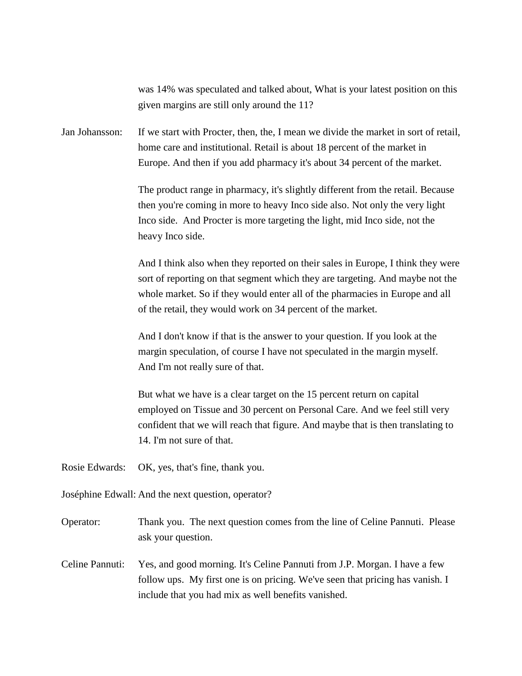was 14% was speculated and talked about, What is your latest position on this given margins are still only around the 11?

Jan Johansson: If we start with Procter, then, the, I mean we divide the market in sort of retail, home care and institutional. Retail is about 18 percent of the market in Europe. And then if you add pharmacy it's about 34 percent of the market.

> The product range in pharmacy, it's slightly different from the retail. Because then you're coming in more to heavy Inco side also. Not only the very light Inco side. And Procter is more targeting the light, mid Inco side, not the heavy Inco side.

And I think also when they reported on their sales in Europe, I think they were sort of reporting on that segment which they are targeting. And maybe not the whole market. So if they would enter all of the pharmacies in Europe and all of the retail, they would work on 34 percent of the market.

And I don't know if that is the answer to your question. If you look at the margin speculation, of course I have not speculated in the margin myself. And I'm not really sure of that.

But what we have is a clear target on the 15 percent return on capital employed on Tissue and 30 percent on Personal Care. And we feel still very confident that we will reach that figure. And maybe that is then translating to 14. I'm not sure of that.

Rosie Edwards: OK, yes, that's fine, thank you.

Joséphine Edwall: And the next question, operator?

Operator: Thank you. The next question comes from the line of Celine Pannuti. Please ask your question.

Celine Pannuti: Yes, and good morning. It's Celine Pannuti from J.P. Morgan. I have a few follow ups. My first one is on pricing. We've seen that pricing has vanish. I include that you had mix as well benefits vanished.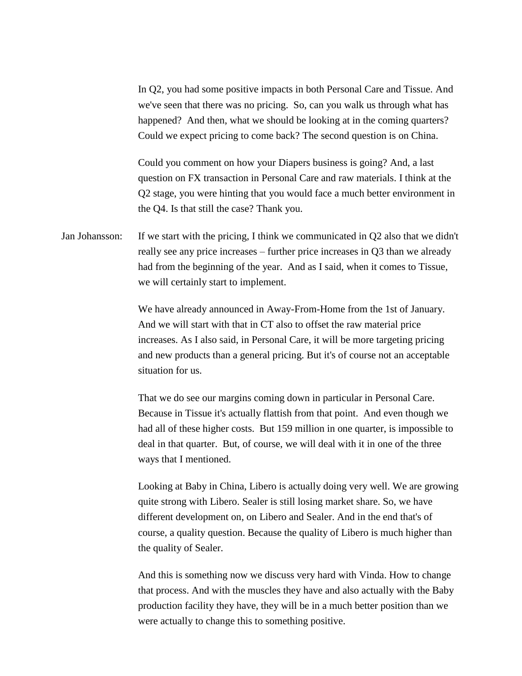In Q2, you had some positive impacts in both Personal Care and Tissue. And we've seen that there was no pricing. So, can you walk us through what has happened? And then, what we should be looking at in the coming quarters? Could we expect pricing to come back? The second question is on China.

Could you comment on how your Diapers business is going? And, a last question on FX transaction in Personal Care and raw materials. I think at the Q2 stage, you were hinting that you would face a much better environment in the Q4. Is that still the case? Thank you.

Jan Johansson: If we start with the pricing, I think we communicated in Q2 also that we didn't really see any price increases – further price increases in Q3 than we already had from the beginning of the year. And as I said, when it comes to Tissue, we will certainly start to implement.

> We have already announced in Away-From-Home from the 1st of January. And we will start with that in CT also to offset the raw material price increases. As I also said, in Personal Care, it will be more targeting pricing and new products than a general pricing. But it's of course not an acceptable situation for us.

That we do see our margins coming down in particular in Personal Care. Because in Tissue it's actually flattish from that point. And even though we had all of these higher costs. But 159 million in one quarter, is impossible to deal in that quarter. But, of course, we will deal with it in one of the three ways that I mentioned.

Looking at Baby in China, Libero is actually doing very well. We are growing quite strong with Libero. Sealer is still losing market share. So, we have different development on, on Libero and Sealer. And in the end that's of course, a quality question. Because the quality of Libero is much higher than the quality of Sealer.

And this is something now we discuss very hard with Vinda. How to change that process. And with the muscles they have and also actually with the Baby production facility they have, they will be in a much better position than we were actually to change this to something positive.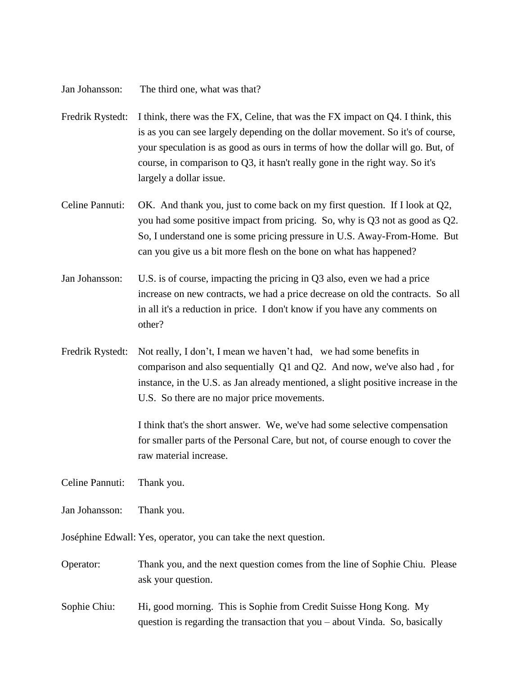Jan Johansson: The third one, what was that?

- Fredrik Rystedt: I think, there was the FX, Celine, that was the FX impact on Q4. I think, this is as you can see largely depending on the dollar movement. So it's of course, your speculation is as good as ours in terms of how the dollar will go. But, of course, in comparison to Q3, it hasn't really gone in the right way. So it's largely a dollar issue.
- Celine Pannuti: OK. And thank you, just to come back on my first question. If I look at Q2, you had some positive impact from pricing. So, why is Q3 not as good as Q2. So, I understand one is some pricing pressure in U.S. Away-From-Home. But can you give us a bit more flesh on the bone on what has happened?
- Jan Johansson: U.S. is of course, impacting the pricing in Q3 also, even we had a price increase on new contracts, we had a price decrease on old the contracts. So all in all it's a reduction in price. I don't know if you have any comments on other?
- Fredrik Rystedt: Not really, I don't, I mean we haven't had, we had some benefits in comparison and also sequentially Q1 and Q2. And now, we've also had , for instance, in the U.S. as Jan already mentioned, a slight positive increase in the U.S. So there are no major price movements.

I think that's the short answer. We, we've had some selective compensation for smaller parts of the Personal Care, but not, of course enough to cover the raw material increase.

Celine Pannuti: Thank you.

Jan Johansson: Thank you.

Joséphine Edwall: Yes, operator, you can take the next question.

- Operator: Thank you, and the next question comes from the line of Sophie Chiu. Please ask your question.
- Sophie Chiu: Hi, good morning. This is Sophie from Credit Suisse Hong Kong. My question is regarding the transaction that you – about Vinda. So, basically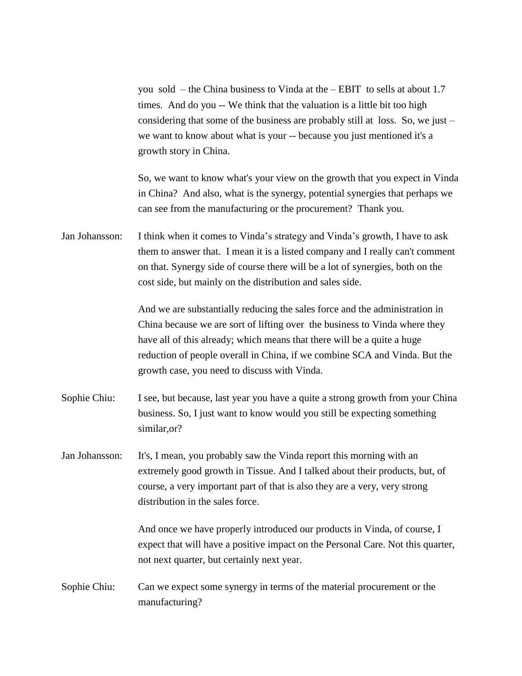you sold – the China business to Vinda at the – EBIT to sells at about 1.7 times. And do you -- We think that the valuation is a little bit too high considering that some of the business are probably still at loss. So, we just – we want to know about what is your -- because you just mentioned it's a growth story in China.

So, we want to know what's your view on the growth that you expect in Vinda in China? And also, what is the synergy, potential synergies that perhaps we can see from the manufacturing or the procurement? Thank you.

Jan Johansson: I think when it comes to Vinda's strategy and Vinda's growth, I have to ask them to answer that. I mean it is a listed company and I really can't comment on that. Synergy side of course there will be a lot of synergies, both on the cost side, but mainly on the distribution and sales side.

> And we are substantially reducing the sales force and the administration in China because we are sort of lifting over the business to Vinda where they have all of this already; which means that there will be a quite a huge reduction of people overall in China, if we combine SCA and Vinda. But the growth case, you need to discuss with Vinda.

- Sophie Chiu: I see, but because, last year you have a quite a strong growth from your China business. So, I just want to know would you still be expecting something similar,or?
- Jan Johansson: It's, I mean, you probably saw the Vinda report this morning with an extremely good growth in Tissue. And I talked about their products, but, of course, a very important part of that is also they are a very, very strong distribution in the sales force.

And once we have properly introduced our products in Vinda, of course, I expect that will have a positive impact on the Personal Care. Not this quarter, not next quarter, but certainly next year.

Sophie Chiu: Can we expect some synergy in terms of the material procurement or the manufacturing?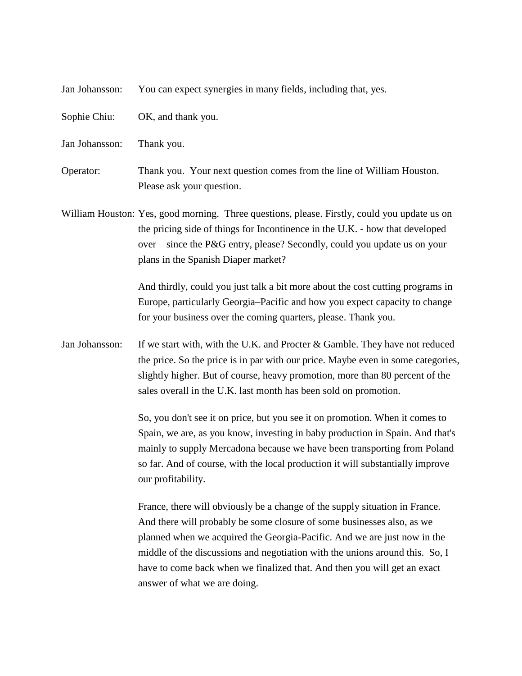| Jan Johansson: | You can expect synergies in many fields, including that, yes.                                                                                                                                                                                                                                                                                                                                                                 |
|----------------|-------------------------------------------------------------------------------------------------------------------------------------------------------------------------------------------------------------------------------------------------------------------------------------------------------------------------------------------------------------------------------------------------------------------------------|
| Sophie Chiu:   | OK, and thank you.                                                                                                                                                                                                                                                                                                                                                                                                            |
| Jan Johansson: | Thank you.                                                                                                                                                                                                                                                                                                                                                                                                                    |
| Operator:      | Thank you. Your next question comes from the line of William Houston.<br>Please ask your question.                                                                                                                                                                                                                                                                                                                            |
|                | William Houston: Yes, good morning. Three questions, please. Firstly, could you update us on<br>the pricing side of things for Incontinence in the U.K. - how that developed<br>over – since the P&G entry, please? Secondly, could you update us on your<br>plans in the Spanish Diaper market?                                                                                                                              |
|                | And thirdly, could you just talk a bit more about the cost cutting programs in<br>Europe, particularly Georgia–Pacific and how you expect capacity to change<br>for your business over the coming quarters, please. Thank you.                                                                                                                                                                                                |
| Jan Johansson: | If we start with, with the U.K. and Procter $\&$ Gamble. They have not reduced<br>the price. So the price is in par with our price. Maybe even in some categories,<br>slightly higher. But of course, heavy promotion, more than 80 percent of the<br>sales overall in the U.K. last month has been sold on promotion.                                                                                                        |
|                | So, you don't see it on price, but you see it on promotion. When it comes to<br>Spain, we are, as you know, investing in baby production in Spain. And that's<br>mainly to supply Mercadona because we have been transporting from Poland<br>so far. And of course, with the local production it will substantially improve<br>our profitability.                                                                             |
|                | France, there will obviously be a change of the supply situation in France.<br>And there will probably be some closure of some businesses also, as we<br>planned when we acquired the Georgia-Pacific. And we are just now in the<br>middle of the discussions and negotiation with the unions around this. So, I<br>have to come back when we finalized that. And then you will get an exact<br>answer of what we are doing. |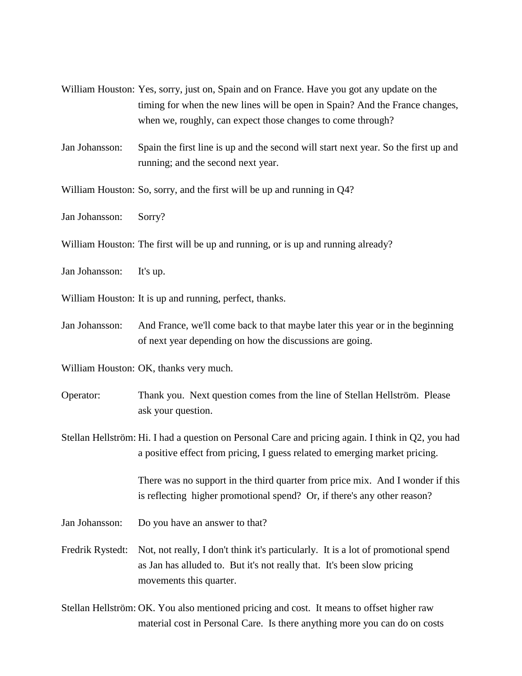- William Houston: Yes, sorry, just on, Spain and on France. Have you got any update on the timing for when the new lines will be open in Spain? And the France changes, when we, roughly, can expect those changes to come through?
- Jan Johansson: Spain the first line is up and the second will start next year. So the first up and running; and the second next year.

William Houston: So, sorry, and the first will be up and running in Q4?

Jan Johansson: Sorry?

- William Houston: The first will be up and running, or is up and running already?
- Jan Johansson: It's up.
- William Houston: It is up and running, perfect, thanks.
- Jan Johansson: And France, we'll come back to that maybe later this year or in the beginning of next year depending on how the discussions are going.

William Houston: OK, thanks very much.

- Operator: Thank you. Next question comes from the line of Stellan Hellström. Please ask your question.
- Stellan Hellström: Hi. I had a question on Personal Care and pricing again. I think in Q2, you had a positive effect from pricing, I guess related to emerging market pricing.

There was no support in the third quarter from price mix. And I wonder if this is reflecting higher promotional spend? Or, if there's any other reason?

- Jan Johansson: Do you have an answer to that?
- Fredrik Rystedt: Not, not really, I don't think it's particularly. It is a lot of promotional spend as Jan has alluded to. But it's not really that. It's been slow pricing movements this quarter.
- Stellan Hellström: OK. You also mentioned pricing and cost. It means to offset higher raw material cost in Personal Care. Is there anything more you can do on costs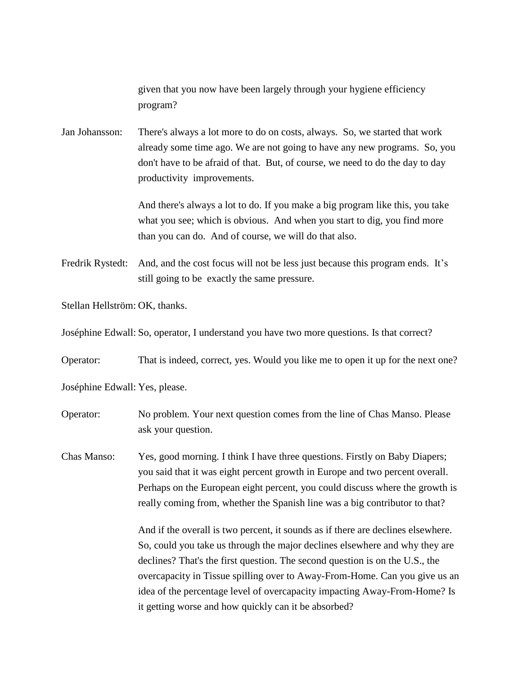given that you now have been largely through your hygiene efficiency program?

Jan Johansson: There's always a lot more to do on costs, always. So, we started that work already some time ago. We are not going to have any new programs. So, you don't have to be afraid of that. But, of course, we need to do the day to day productivity improvements.

> And there's always a lot to do. If you make a big program like this, you take what you see; which is obvious. And when you start to dig, you find more than you can do. And of course, we will do that also.

Fredrik Rystedt: And, and the cost focus will not be less just because this program ends. It's still going to be exactly the same pressure.

Stellan Hellström: OK, thanks.

Joséphine Edwall: So, operator, I understand you have two more questions. Is that correct?

Operator: That is indeed, correct, yes. Would you like me to open it up for the next one?

Joséphine Edwall: Yes, please.

Operator: No problem. Your next question comes from the line of Chas Manso. Please ask your question.

Chas Manso: Yes, good morning. I think I have three questions. Firstly on Baby Diapers; you said that it was eight percent growth in Europe and two percent overall. Perhaps on the European eight percent, you could discuss where the growth is really coming from, whether the Spanish line was a big contributor to that?

> And if the overall is two percent, it sounds as if there are declines elsewhere. So, could you take us through the major declines elsewhere and why they are declines? That's the first question. The second question is on the U.S., the overcapacity in Tissue spilling over to Away-From-Home. Can you give us an idea of the percentage level of overcapacity impacting Away-From-Home? Is it getting worse and how quickly can it be absorbed?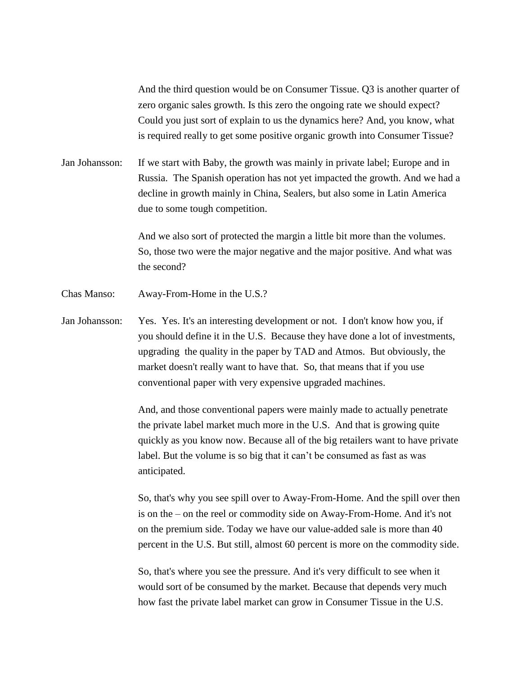And the third question would be on Consumer Tissue. Q3 is another quarter of zero organic sales growth. Is this zero the ongoing rate we should expect? Could you just sort of explain to us the dynamics here? And, you know, what is required really to get some positive organic growth into Consumer Tissue?

Jan Johansson: If we start with Baby, the growth was mainly in private label; Europe and in Russia. The Spanish operation has not yet impacted the growth. And we had a decline in growth mainly in China, Sealers, but also some in Latin America due to some tough competition.

> And we also sort of protected the margin a little bit more than the volumes. So, those two were the major negative and the major positive. And what was the second?

Chas Manso: Away-From-Home in the U.S.?

Jan Johansson: Yes. Yes. It's an interesting development or not. I don't know how you, if you should define it in the U.S. Because they have done a lot of investments, upgrading the quality in the paper by TAD and Atmos. But obviously, the market doesn't really want to have that. So, that means that if you use conventional paper with very expensive upgraded machines.

> And, and those conventional papers were mainly made to actually penetrate the private label market much more in the U.S. And that is growing quite quickly as you know now. Because all of the big retailers want to have private label. But the volume is so big that it can't be consumed as fast as was anticipated.

> So, that's why you see spill over to Away-From-Home. And the spill over then is on the – on the reel or commodity side on Away-From-Home. And it's not on the premium side. Today we have our value-added sale is more than 40 percent in the U.S. But still, almost 60 percent is more on the commodity side.

So, that's where you see the pressure. And it's very difficult to see when it would sort of be consumed by the market. Because that depends very much how fast the private label market can grow in Consumer Tissue in the U.S.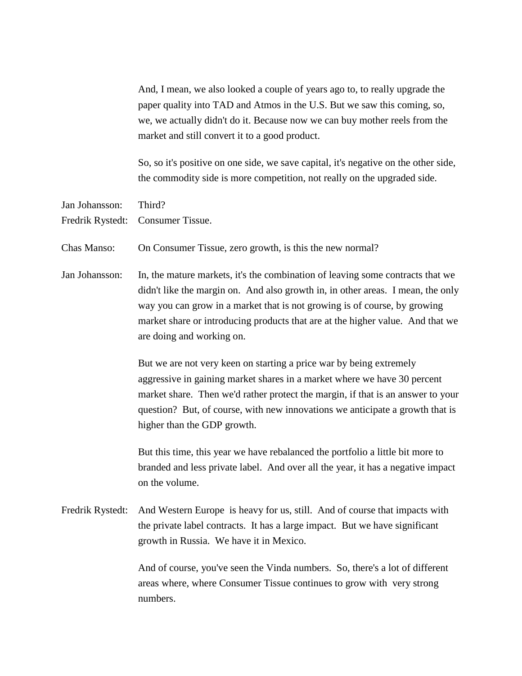And, I mean, we also looked a couple of years ago to, to really upgrade the paper quality into TAD and Atmos in the U.S. But we saw this coming, so, we, we actually didn't do it. Because now we can buy mother reels from the market and still convert it to a good product.

So, so it's positive on one side, we save capital, it's negative on the other side, the commodity side is more competition, not really on the upgraded side.

Jan Johansson: Third?

Fredrik Rystedt: Consumer Tissue.

Chas Manso: On Consumer Tissue, zero growth, is this the new normal?

Jan Johansson: In, the mature markets, it's the combination of leaving some contracts that we didn't like the margin on. And also growth in, in other areas. I mean, the only way you can grow in a market that is not growing is of course, by growing market share or introducing products that are at the higher value. And that we are doing and working on.

> But we are not very keen on starting a price war by being extremely aggressive in gaining market shares in a market where we have 30 percent market share. Then we'd rather protect the margin, if that is an answer to your question? But, of course, with new innovations we anticipate a growth that is higher than the GDP growth.

> But this time, this year we have rebalanced the portfolio a little bit more to branded and less private label. And over all the year, it has a negative impact on the volume.

Fredrik Rystedt: And Western Europe is heavy for us, still. And of course that impacts with the private label contracts. It has a large impact. But we have significant growth in Russia. We have it in Mexico.

> And of course, you've seen the Vinda numbers. So, there's a lot of different areas where, where Consumer Tissue continues to grow with very strong numbers.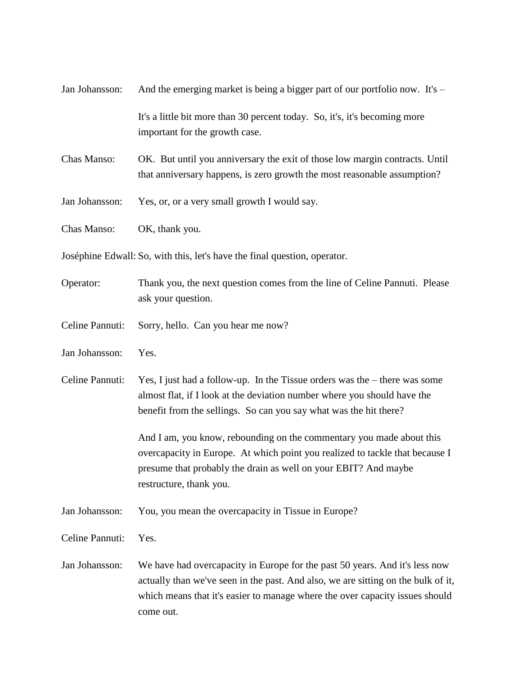| Jan Johansson:  | And the emerging market is being a bigger part of our portfolio now. It's $-$                                                                                                                                                                                 |
|-----------------|---------------------------------------------------------------------------------------------------------------------------------------------------------------------------------------------------------------------------------------------------------------|
|                 | It's a little bit more than 30 percent today. So, it's, it's becoming more<br>important for the growth case.                                                                                                                                                  |
| Chas Manso:     | OK. But until you anniversary the exit of those low margin contracts. Until<br>that anniversary happens, is zero growth the most reasonable assumption?                                                                                                       |
| Jan Johansson:  | Yes, or, or a very small growth I would say.                                                                                                                                                                                                                  |
| Chas Manso:     | OK, thank you.                                                                                                                                                                                                                                                |
|                 | Joséphine Edwall: So, with this, let's have the final question, operator.                                                                                                                                                                                     |
| Operator:       | Thank you, the next question comes from the line of Celine Pannuti. Please<br>ask your question.                                                                                                                                                              |
| Celine Pannuti: | Sorry, hello. Can you hear me now?                                                                                                                                                                                                                            |
| Jan Johansson:  | Yes.                                                                                                                                                                                                                                                          |
| Celine Pannuti: | Yes, I just had a follow-up. In the Tissue orders was the $-$ there was some<br>almost flat, if I look at the deviation number where you should have the<br>benefit from the sellings. So can you say what was the hit there?                                 |
|                 | And I am, you know, rebounding on the commentary you made about this<br>overcapacity in Europe. At which point you realized to tackle that because I<br>presume that probably the drain as well on your EBIT? And maybe<br>restructure, thank you.            |
| Jan Johansson:  | You, you mean the overcapacity in Tissue in Europe?                                                                                                                                                                                                           |
| Celine Pannuti: | Yes.                                                                                                                                                                                                                                                          |
| Jan Johansson:  | We have had overcapacity in Europe for the past 50 years. And it's less now<br>actually than we've seen in the past. And also, we are sitting on the bulk of it,<br>which means that it's easier to manage where the over capacity issues should<br>come out. |